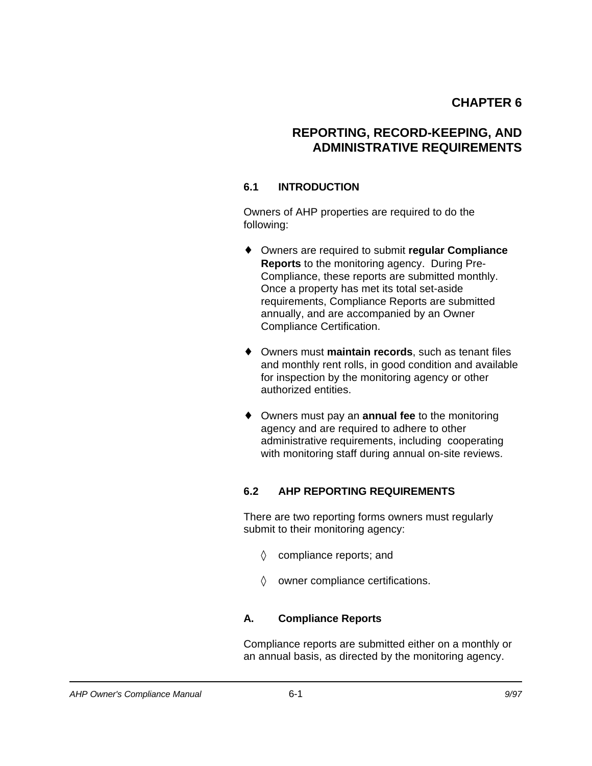# **REPORTING, RECORD-KEEPING, AND ADMINISTRATIVE REQUIREMENTS**

## **6.1 INTRODUCTION**

Owners of AHP properties are required to do the following:

- ◆ Owners are required to submit **regular Compliance Reports** to the monitoring agency. During Pre-Compliance, these reports are submitted monthly. Once a property has met its total set-aside requirements, Compliance Reports are submitted annually, and are accompanied by an Owner Compliance Certification.
- ◆ Owners must maintain records, such as tenant files and monthly rent rolls, in good condition and available for inspection by the monitoring agency or other authorized entities.
- ◆ Owners must pay an **annual fee** to the monitoring agency and are required to adhere to other administrative requirements, including cooperating with monitoring staff during annual on-site reviews.

## **6.2 AHP REPORTING REQUIREMENTS**

There are two reporting forms owners must regularly submit to their monitoring agency:

- $\Diamond$  compliance reports; and
- $\Diamond$  owner compliance certifications.

### **A. Compliance Reports**

Compliance reports are submitted either on a monthly or an annual basis, as directed by the monitoring agency.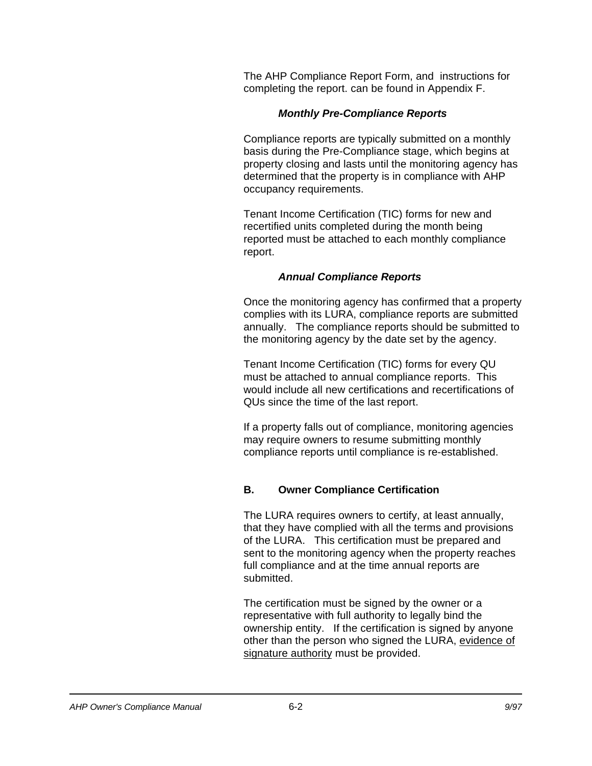The AHP Compliance Report Form, and instructions for completing the report. can be found in Appendix F.

#### *Monthly Pre-Compliance Reports*

Compliance reports are typically submitted on a monthly basis during the Pre-Compliance stage, which begins at property closing and lasts until the monitoring agency has determined that the property is in compliance with AHP occupancy requirements.

Tenant Income Certification (TIC) forms for new and recertified units completed during the month being reported must be attached to each monthly compliance report.

#### *Annual Compliance Reports*

Once the monitoring agency has confirmed that a property complies with its LURA, compliance reports are submitted annually. The compliance reports should be submitted to the monitoring agency by the date set by the agency.

Tenant Income Certification (TIC) forms for every QU must be attached to annual compliance reports. This would include all new certifications and recertifications of QUs since the time of the last report.

If a property falls out of compliance, monitoring agencies may require owners to resume submitting monthly compliance reports until compliance is re-established.

### **B. Owner Compliance Certification**

The LURA requires owners to certify, at least annually, that they have complied with all the terms and provisions of the LURA. This certification must be prepared and sent to the monitoring agency when the property reaches full compliance and at the time annual reports are submitted.

The certification must be signed by the owner or a representative with full authority to legally bind the ownership entity. If the certification is signed by anyone other than the person who signed the LURA, evidence of signature authority must be provided.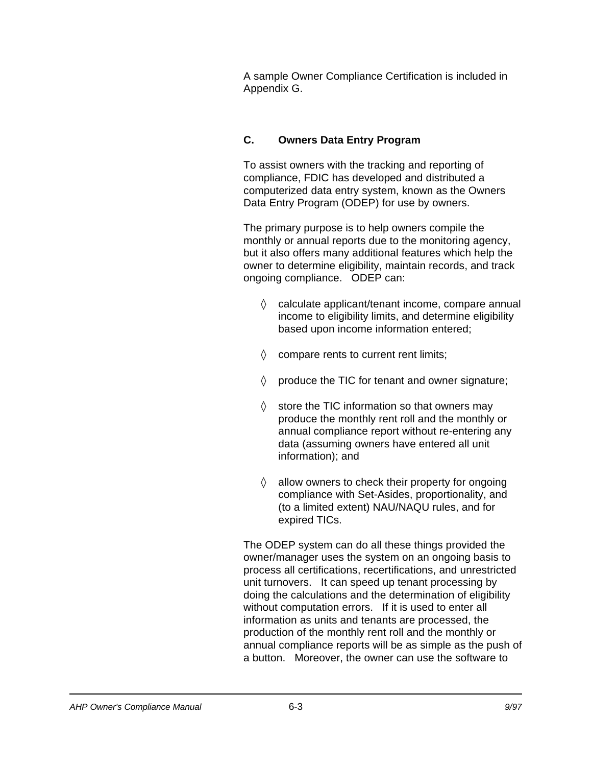A sample Owner Compliance Certification is included in Appendix G.

## **C. Owners Data Entry Program**

To assist owners with the tracking and reporting of compliance, FDIC has developed and distributed a computerized data entry system, known as the Owners Data Entry Program (ODEP) for use by owners.

The primary purpose is to help owners compile the monthly or annual reports due to the monitoring agency, but it also offers many additional features which help the owner to determine eligibility, maintain records, and track ongoing compliance. ODEP can:

- $\Diamond$  calculate applicant/tenant income, compare annual income to eligibility limits, and determine eligibility based upon income information entered;
- $\Diamond$  compare rents to current rent limits;
- $\Diamond$  produce the TIC for tenant and owner signature;
- $\Diamond$  store the TIC information so that owners may produce the monthly rent roll and the monthly or annual compliance report without re-entering any data (assuming owners have entered all unit information); and
- $\Diamond$  allow owners to check their property for ongoing compliance with Set-Asides, proportionality, and (to a limited extent) NAU/NAQU rules, and for expired TICs.

The ODEP system can do all these things provided the owner/manager uses the system on an ongoing basis to process all certifications, recertifications, and unrestricted unit turnovers. It can speed up tenant processing by doing the calculations and the determination of eligibility without computation errors. If it is used to enter all information as units and tenants are processed, the production of the monthly rent roll and the monthly or annual compliance reports will be as simple as the push of a button. Moreover, the owner can use the software to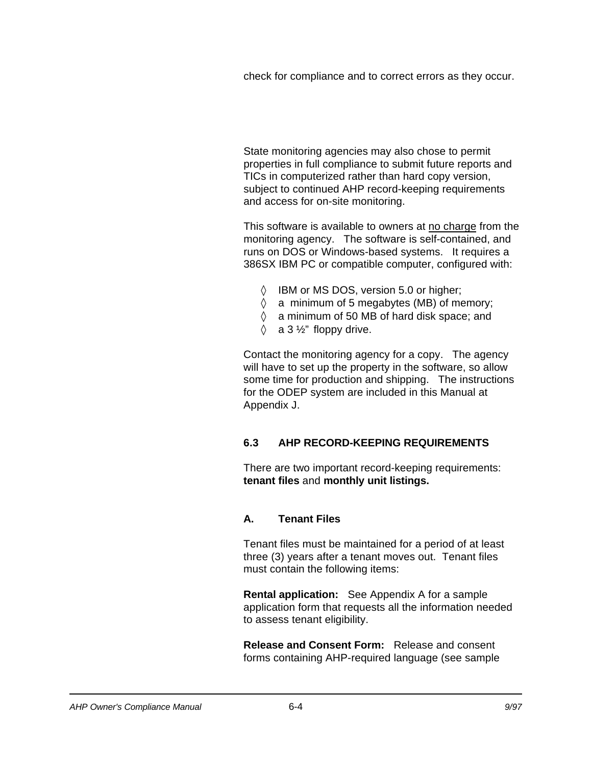check for compliance and to correct errors as they occur.

State monitoring agencies may also chose to permit properties in full compliance to submit future reports and TICs in computerized rather than hard copy version, subject to continued AHP record-keeping requirements and access for on-site monitoring.

This software is available to owners at no charge from the monitoring agency. The software is self-contained, and runs on DOS or Windows-based systems. It requires a 386SX IBM PC or compatible computer, configured with:

- 0 IBM or MS DOS, version 5.0 or higher;
- $\Diamond$  a minimum of 5 megabytes (MB) of memory;
- 0 a minimum of 50 MB of hard disk space; and
- $\Diamond$  a 3 1/<sub>2</sub>" floppy drive.

Contact the monitoring agency for a copy. The agency will have to set up the property in the software, so allow some time for production and shipping. The instructions for the ODEP system are included in this Manual at Appendix J.

### **6.3 AHP RECORD-KEEPING REQUIREMENTS**

There are two important record-keeping requirements: **tenant files** and **monthly unit listings.** 

#### **A. Tenant Files**

Tenant files must be maintained for a period of at least three (3) years after a tenant moves out. Tenant files must contain the following items:

**Rental application:** See Appendix A for a sample application form that requests all the information needed to assess tenant eligibility.

**Release and Consent Form:** Release and consent forms containing AHP-required language (see sample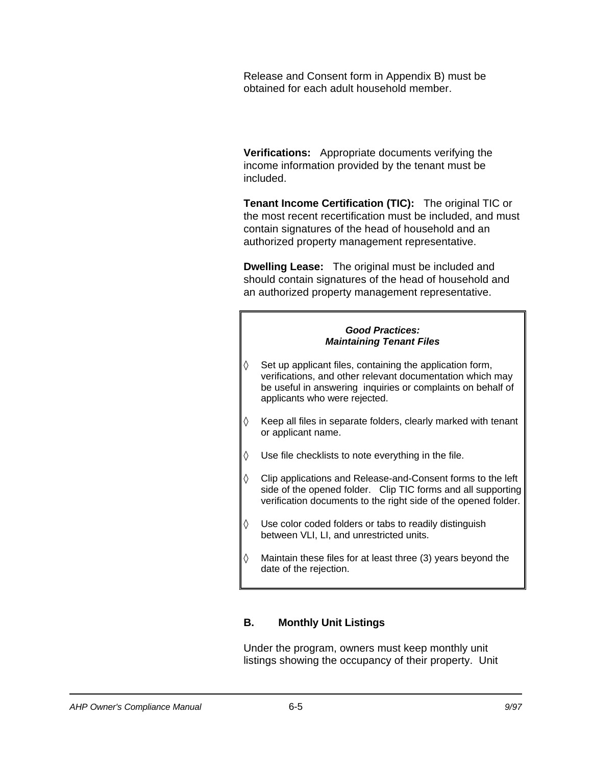Release and Consent form in Appendix B) must be obtained for each adult household member.

**Verifications:** Appropriate documents verifying the income information provided by the tenant must be included.

**Tenant Income Certification (TIC):** The original TIC or the most recent recertification must be included, and must contain signatures of the head of household and an authorized property management representative.

**Dwelling Lease:** The original must be included and should contain signatures of the head of household and an authorized property management representative.

#### *Good Practices: Maintaining Tenant Files*

- $\Diamond$  Set up applicant files, containing the application form, verifications, and other relevant documentation which may be useful in answering inquiries or complaints on behalf of applicants who were rejected.
- $\Diamond$  Keep all files in separate folders, clearly marked with tenant or applicant name.
- $\Diamond$  Use file checklists to note everything in the file.
- $\Diamond$  Clip applications and Release-and-Consent forms to the left side of the opened folder. Clip TIC forms and all supporting verification documents to the right side of the opened folder.
- $\Diamond$  Use color coded folders or tabs to readily distinguish between VLI, LI, and unrestricted units.
- $\Diamond$  Maintain these files for at least three (3) years beyond the date of the rejection.

### **B. Monthly Unit Listings**

Under the program, owners must keep monthly unit listings showing the occupancy of their property. Unit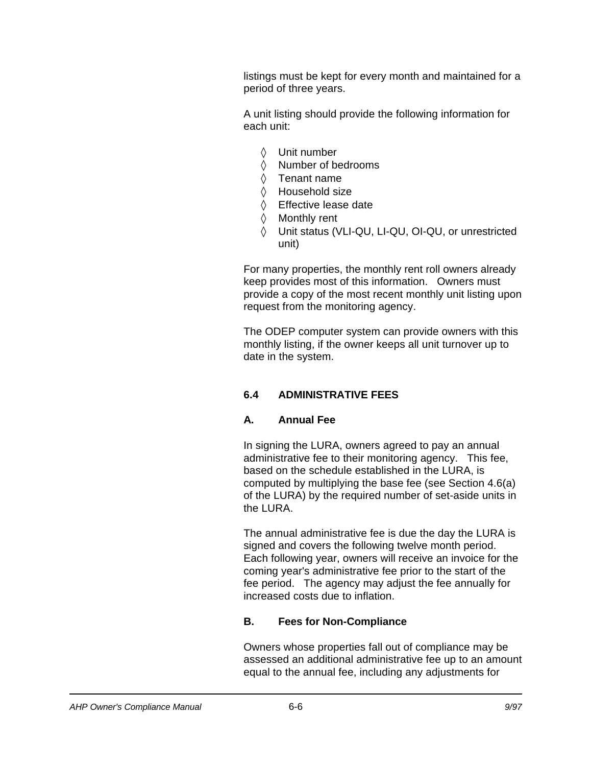listings must be kept for every month and maintained for a period of three years.

A unit listing should provide the following information for each unit:

- 0 Unit number
- 0 Number of bedrooms
- $\Diamond$  Tenant name
- $\Diamond$  Household size
- 0 Effective lease date
- 0 Monthly rent
- 0 Unit status (VLI-QU, LI-QU, OI-QU, or unrestricted unit)

For many properties, the monthly rent roll owners already keep provides most of this information. Owners must provide a copy of the most recent monthly unit listing upon request from the monitoring agency.

The ODEP computer system can provide owners with this monthly listing, if the owner keeps all unit turnover up to date in the system.

### **6.4 ADMINISTRATIVE FEES**

### **A. Annual Fee**

In signing the LURA, owners agreed to pay an annual administrative fee to their monitoring agency. This fee, based on the schedule established in the LURA, is computed by multiplying the base fee (see Section 4.6(a) of the LURA) by the required number of set-aside units in the LURA.

The annual administrative fee is due the day the LURA is signed and covers the following twelve month period. Each following year, owners will receive an invoice for the coming year's administrative fee prior to the start of the fee period. The agency may adjust the fee annually for increased costs due to inflation.

### **B. Fees for Non-Compliance**

Owners whose properties fall out of compliance may be assessed an additional administrative fee up to an amount equal to the annual fee, including any adjustments for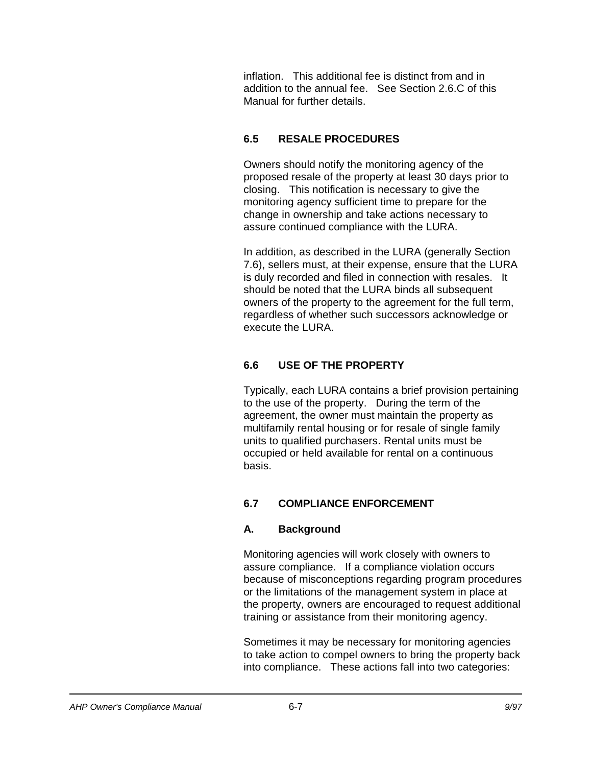inflation. This additional fee is distinct from and in addition to the annual fee. See Section 2.6.C of this Manual for further details.

## **6.5 RESALE PROCEDURES**

Owners should notify the monitoring agency of the proposed resale of the property at least 30 days prior to closing. This notification is necessary to give the monitoring agency sufficient time to prepare for the change in ownership and take actions necessary to assure continued compliance with the LURA.

In addition, as described in the LURA (generally Section 7.6), sellers must, at their expense, ensure that the LURA is duly recorded and filed in connection with resales. It should be noted that the LURA binds all subsequent owners of the property to the agreement for the full term, regardless of whether such successors acknowledge or execute the LURA.

## **6.6 USE OF THE PROPERTY**

Typically, each LURA contains a brief provision pertaining to the use of the property. During the term of the agreement, the owner must maintain the property as multifamily rental housing or for resale of single family units to qualified purchasers. Rental units must be occupied or held available for rental on a continuous basis.

### **6.7 COMPLIANCE ENFORCEMENT**

### **A. Background**

Monitoring agencies will work closely with owners to assure compliance. If a compliance violation occurs because of misconceptions regarding program procedures or the limitations of the management system in place at the property, owners are encouraged to request additional training or assistance from their monitoring agency.

Sometimes it may be necessary for monitoring agencies to take action to compel owners to bring the property back into compliance. These actions fall into two categories: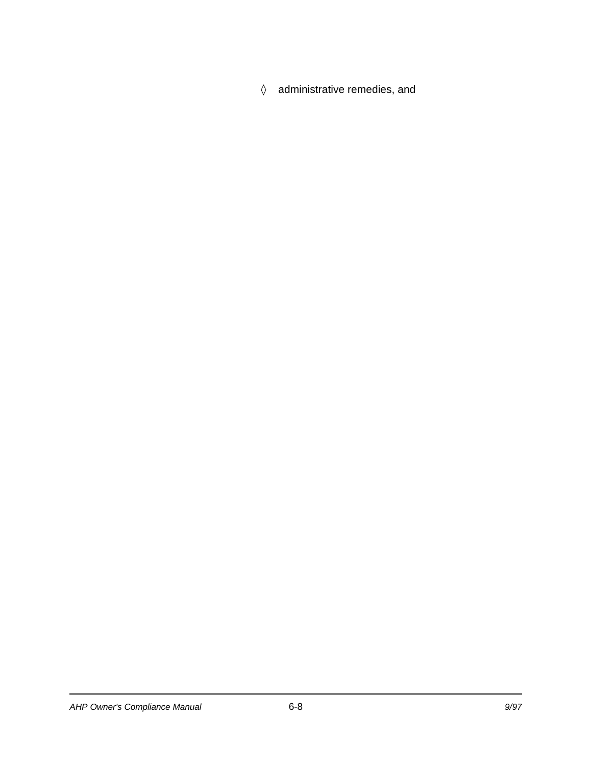$\Diamond$  administrative remedies, and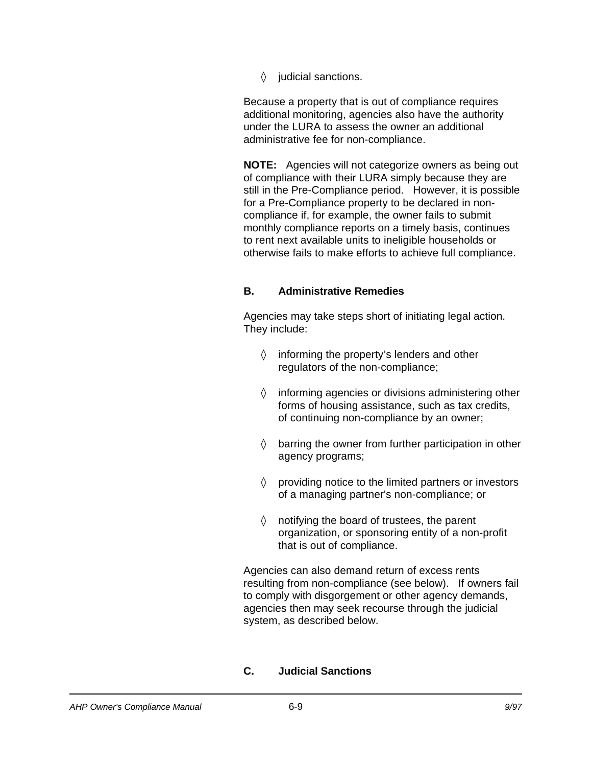$\Diamond$  judicial sanctions.

Because a property that is out of compliance requires additional monitoring, agencies also have the authority under the LURA to assess the owner an additional administrative fee for non-compliance.

**NOTE:** Agencies will not categorize owners as being out of compliance with their LURA simply because they are still in the Pre-Compliance period. However, it is possible for a Pre-Compliance property to be declared in noncompliance if, for example, the owner fails to submit monthly compliance reports on a timely basis, continues to rent next available units to ineligible households or otherwise fails to make efforts to achieve full compliance.

#### **B. Administrative Remedies**

Agencies may take steps short of initiating legal action. They include:

- $\Diamond$  informing the property's lenders and other regulators of the non-compliance;
- $\Diamond$  informing agencies or divisions administering other forms of housing assistance, such as tax credits, of continuing non-compliance by an owner;
- $\Diamond$  barring the owner from further participation in other agency programs;
- $\Diamond$  providing notice to the limited partners or investors of a managing partner's non-compliance; or
- $\Diamond$  notifying the board of trustees, the parent organization, or sponsoring entity of a non-profit that is out of compliance.

Agencies can also demand return of excess rents resulting from non-compliance (see below). If owners fail to comply with disgorgement or other agency demands, agencies then may seek recourse through the judicial system, as described below.

#### **C. Judicial Sanctions**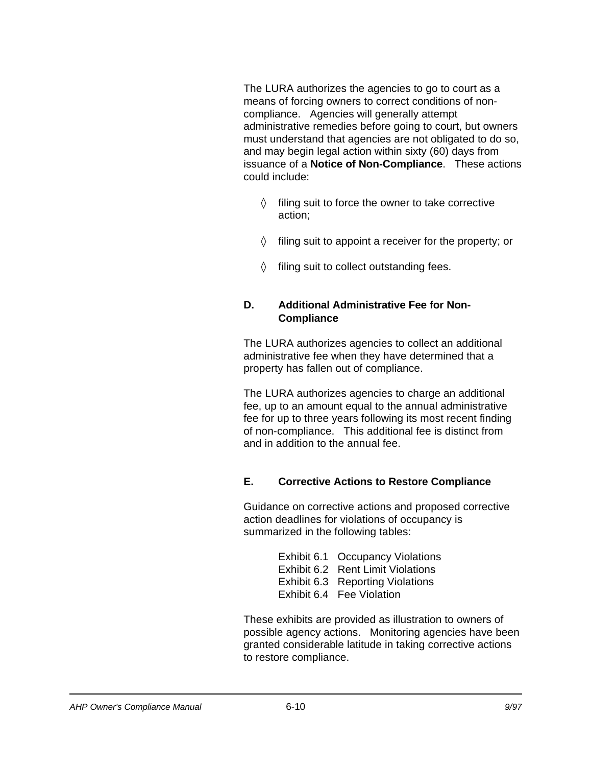The LURA authorizes the agencies to go to court as a means of forcing owners to correct conditions of noncompliance. Agencies will generally attempt administrative remedies before going to court, but owners must understand that agencies are not obligated to do so, and may begin legal action within sixty (60) days from issuance of a **Notice of Non-Compliance**. These actions could include:

- $\Diamond$  filing suit to force the owner to take corrective action;
- $\Diamond$  filing suit to appoint a receiver for the property; or
- $\Diamond$  filing suit to collect outstanding fees.

#### **D. Additional Administrative Fee for Non-Compliance**

The LURA authorizes agencies to collect an additional administrative fee when they have determined that a property has fallen out of compliance.

The LURA authorizes agencies to charge an additional fee, up to an amount equal to the annual administrative fee for up to three years following its most recent finding of non-compliance. This additional fee is distinct from and in addition to the annual fee.

### **E. Corrective Actions to Restore Compliance**

Guidance on corrective actions and proposed corrective action deadlines for violations of occupancy is summarized in the following tables:

> Exhibit 6.1 Occupancy Violations Exhibit 6.2 Rent Limit Violations Exhibit 6.3 Reporting Violations Exhibit 6.4 Fee Violation

These exhibits are provided as illustration to owners of possible agency actions. Monitoring agencies have been granted considerable latitude in taking corrective actions to restore compliance.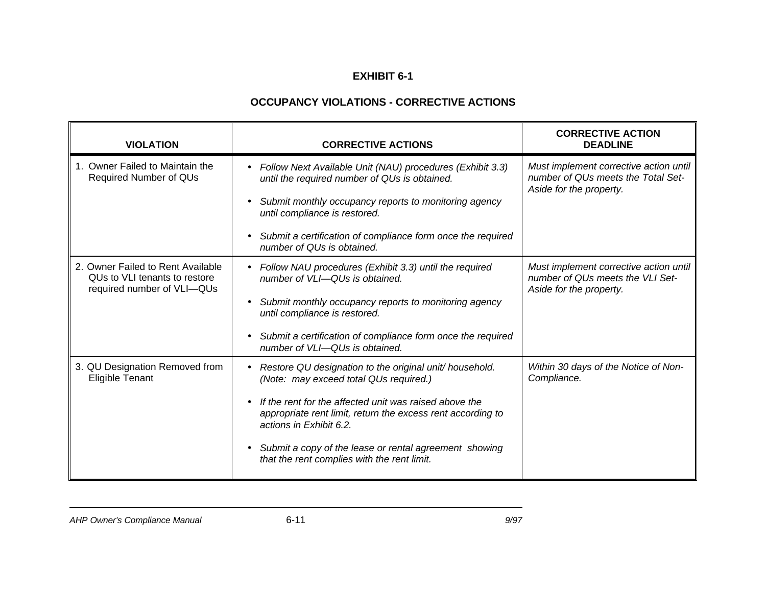### **OCCUPANCY VIOLATIONS - CORRECTIVE ACTIONS**

| <b>VIOLATION</b>                                                                                 | <b>CORRECTIVE ACTIONS</b>                                                                                                                                                                                                                                                                                                                                                                             | <b>CORRECTIVE ACTION</b><br><b>DEADLINE</b>                                                             |
|--------------------------------------------------------------------------------------------------|-------------------------------------------------------------------------------------------------------------------------------------------------------------------------------------------------------------------------------------------------------------------------------------------------------------------------------------------------------------------------------------------------------|---------------------------------------------------------------------------------------------------------|
| 1. Owner Failed to Maintain the<br>Required Number of QUs                                        | Follow Next Available Unit (NAU) procedures (Exhibit 3.3)<br>$\bullet$<br>until the required number of QUs is obtained.<br>Submit monthly occupancy reports to monitoring agency<br>$\bullet$<br>until compliance is restored.<br>Submit a certification of compliance form once the required<br>$\bullet$<br>number of QUs is obtained.                                                              | Must implement corrective action until<br>number of QUs meets the Total Set-<br>Aside for the property. |
| 2. Owner Failed to Rent Available<br>QUs to VLI tenants to restore<br>required number of VLI-QUs | Follow NAU procedures (Exhibit 3.3) until the required<br>$\bullet$<br>number of VLI-QUs is obtained.<br>Submit monthly occupancy reports to monitoring agency<br>$\bullet$<br>until compliance is restored.<br>Submit a certification of compliance form once the required<br>$\bullet$<br>number of VLI-QUs is obtained.                                                                            | Must implement corrective action until<br>number of QUs meets the VLI Set-<br>Aside for the property.   |
| 3. QU Designation Removed from<br><b>Eligible Tenant</b>                                         | Restore QU designation to the original unit/ household.<br>$\bullet$<br>(Note: may exceed total QUs required.)<br>If the rent for the affected unit was raised above the<br>$\bullet$<br>appropriate rent limit, return the excess rent according to<br>actions in Exhibit 6.2.<br>Submit a copy of the lease or rental agreement showing<br>$\bullet$<br>that the rent complies with the rent limit. | Within 30 days of the Notice of Non-<br>Compliance.                                                     |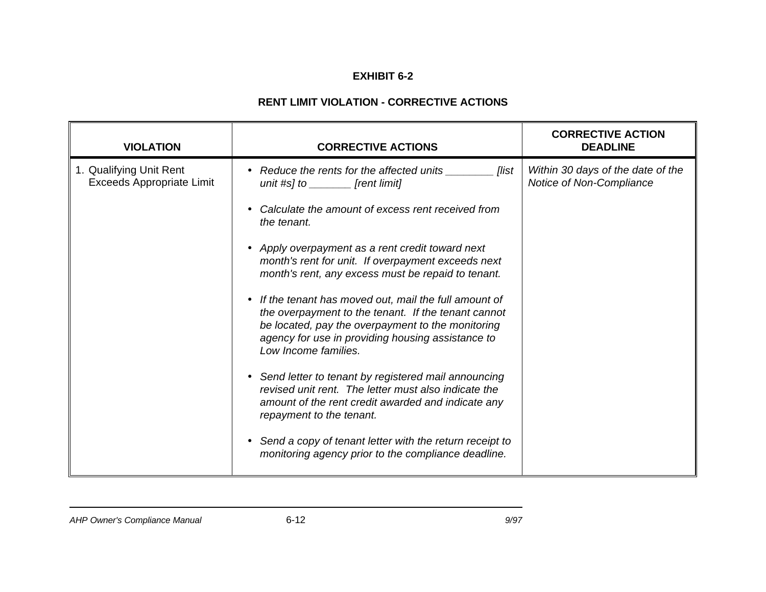### **RENT LIMIT VIOLATION - CORRECTIVE ACTIONS**

| <b>VIOLATION</b>                                            | <b>CORRECTIVE ACTIONS</b>                                                                                                                                                                                                                                  | <b>CORRECTIVE ACTION</b><br><b>DEADLINE</b>                   |
|-------------------------------------------------------------|------------------------------------------------------------------------------------------------------------------------------------------------------------------------------------------------------------------------------------------------------------|---------------------------------------------------------------|
| 1. Qualifying Unit Rent<br><b>Exceeds Appropriate Limit</b> | Reduce the rents for the affected units<br><b>flist</b><br>$\bullet$<br>unit #s] to $\sqrt{\phantom{a}}$ [rent limit]                                                                                                                                      | Within 30 days of the date of the<br>Notice of Non-Compliance |
|                                                             | Calculate the amount of excess rent received from<br>the tenant.                                                                                                                                                                                           |                                                               |
|                                                             | Apply overpayment as a rent credit toward next<br>$\bullet$<br>month's rent for unit. If overpayment exceeds next<br>month's rent, any excess must be repaid to tenant.                                                                                    |                                                               |
|                                                             | If the tenant has moved out, mail the full amount of<br>$\bullet$<br>the overpayment to the tenant. If the tenant cannot<br>be located, pay the overpayment to the monitoring<br>agency for use in providing housing assistance to<br>Low Income families. |                                                               |
|                                                             | Send letter to tenant by registered mail announcing<br>$\bullet$<br>revised unit rent. The letter must also indicate the<br>amount of the rent credit awarded and indicate any<br>repayment to the tenant.                                                 |                                                               |
|                                                             | Send a copy of tenant letter with the return receipt to<br>$\bullet$<br>monitoring agency prior to the compliance deadline.                                                                                                                                |                                                               |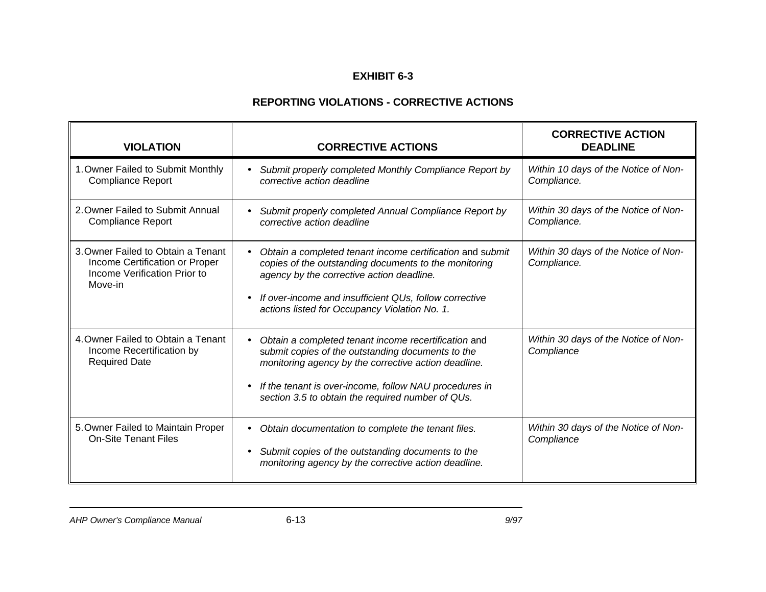### **REPORTING VIOLATIONS - CORRECTIVE ACTIONS**

| <b>VIOLATION</b>                                                                                                | <b>CORRECTIVE ACTIONS</b>                                                                                                                                                                                                                                                                                  | <b>CORRECTIVE ACTION</b><br><b>DEADLINE</b>         |
|-----------------------------------------------------------------------------------------------------------------|------------------------------------------------------------------------------------------------------------------------------------------------------------------------------------------------------------------------------------------------------------------------------------------------------------|-----------------------------------------------------|
| 1. Owner Failed to Submit Monthly<br><b>Compliance Report</b>                                                   | Submit properly completed Monthly Compliance Report by<br>$\bullet$<br>corrective action deadline                                                                                                                                                                                                          | Within 10 days of the Notice of Non-<br>Compliance. |
| 2. Owner Failed to Submit Annual<br><b>Compliance Report</b>                                                    | Submit properly completed Annual Compliance Report by<br>corrective action deadline                                                                                                                                                                                                                        | Within 30 days of the Notice of Non-<br>Compliance. |
| 3. Owner Failed to Obtain a Tenant<br>Income Certification or Proper<br>Income Verification Prior to<br>Move-in | Obtain a completed tenant income certification and submit<br>$\bullet$<br>copies of the outstanding documents to the monitoring<br>agency by the corrective action deadline.<br>If over-income and insufficient QUs, follow corrective<br>$\bullet$<br>actions listed for Occupancy Violation No. 1.       | Within 30 days of the Notice of Non-<br>Compliance. |
| 4. Owner Failed to Obtain a Tenant<br>Income Recertification by<br><b>Required Date</b>                         | Obtain a completed tenant income recertification and<br>$\bullet$<br>submit copies of the outstanding documents to the<br>monitoring agency by the corrective action deadline.<br>If the tenant is over-income, follow NAU procedures in<br>$\bullet$<br>section 3.5 to obtain the required number of QUs. | Within 30 days of the Notice of Non-<br>Compliance  |
| 5. Owner Failed to Maintain Proper<br><b>On-Site Tenant Files</b>                                               | Obtain documentation to complete the tenant files.<br>$\bullet$<br>Submit copies of the outstanding documents to the<br>$\bullet$<br>monitoring agency by the corrective action deadline.                                                                                                                  | Within 30 days of the Notice of Non-<br>Compliance  |